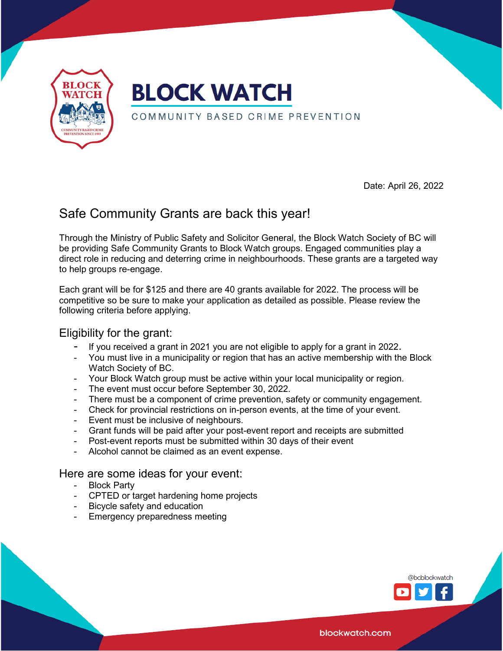

Date: April 26, 2022

### Safe Community Grants are back this year!

Through the Ministry of Public Safety and Solicitor General, the Block Watch Society of BC will be providing Safe Community Grants to Block Watch groups. Engaged communities play a direct role in reducing and deterring crime in neighbourhoods. These grants are a targeted way to help groups re-engage.

Each grant will be for \$125 and there are 40 grants available for 2022. The process will be competitive so be sure to make your application as detailed as possible. Please review the following criteria before applying.

#### Eligibility for the grant:

- If you received a grant in 2021 you are not eligible to apply for a grant in 2022.
- You must live in a municipality or region that has an active membership with the Block Watch Society of BC.
- Your Block Watch group must be active within your local municipality or region.
- The event must occur before September 30, 2022.
- There must be a component of crime prevention, safety or community engagement.
- Check for provincial restrictions on in-person events, at the time of your event.
- Event must be inclusive of neighbours.
- Grant funds will be paid after your post-event report and receipts are submitted
- Post-event reports must be submitted within 30 days of their event
- Alcohol cannot be claimed as an event expense.

#### Here are some ideas for your event:

- Block Party
- CPTED or target hardening home projects
- Bicycle safety and education
- Emergency preparedness meeting



blockwatch.com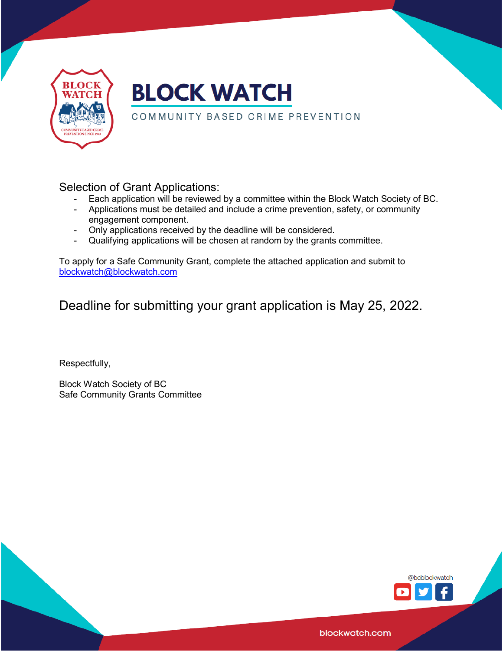

## **BLOCK WATCH**

#### COMMUNITY BASED CRIME PREVENTION

Selection of Grant Applications:

- Each application will be reviewed by a committee within the Block Watch Society of BC.
- Applications must be detailed and include a crime prevention, safety, or community engagement component.
- Only applications received by the deadline will be considered.
- Qualifying applications will be chosen at random by the grants committee.

To apply for a Safe Community Grant, complete the attached application and submit to [blockwatch@blockwatch.com](mailto:blockwatch@blockwatch.com)

Deadline for submitting your grant application is May 25, 2022.

Respectfully,

Block Watch Society of BC Safe Community Grants Committee



blockwatch.com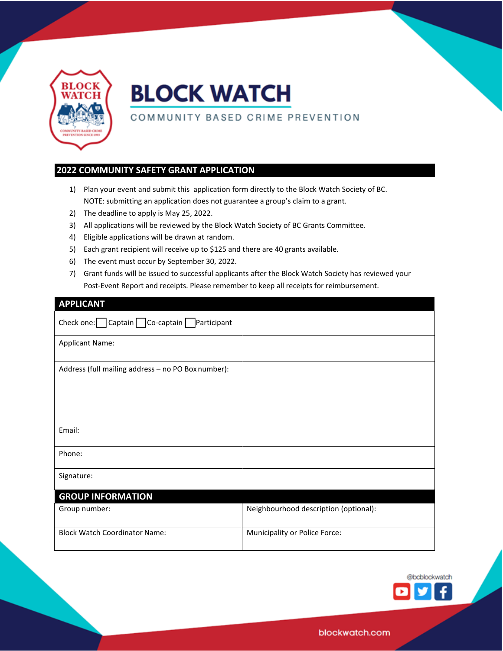

# **BLOCK WATCH**

#### COMMUNITY BASED CRIME PREVENTION

#### **2022 COMMUNITY SAFETY GRANT APPLICATION**

- 1) Plan your event and submit this application form directly to the Block Watch Society of BC. NOTE: submitting an application does not guarantee a group's claim to a grant.
- 2) The deadline to apply is May 25, 2022.
- 3) All applications will be reviewed by the Block Watch Society of BC Grants Committee.
- 4) Eligible applications will be drawn at random.
- 5) Each grant recipient will receive up to \$125 and there are 40 grants available.
- 6) The event must occur by September 30, 2022.
- 7) Grant funds will be issued to successful applicants after the Block Watch Society has reviewed your Post-Event Report and receipts. Please remember to keep all receipts for reimbursement.

| <b>APPLICANT</b> |  |  |  |  |
|------------------|--|--|--|--|
|                  |  |  |  |  |

| Check one: $\Box$ Captain $\Box$ Co-captain $\Box$ Participant |                                       |  |  |  |
|----------------------------------------------------------------|---------------------------------------|--|--|--|
| <b>Applicant Name:</b>                                         |                                       |  |  |  |
| Address (full mailing address - no PO Box number):             |                                       |  |  |  |
| Email:                                                         |                                       |  |  |  |
| Phone:                                                         |                                       |  |  |  |
| Signature:                                                     |                                       |  |  |  |
| <b>GROUP INFORMATION</b>                                       |                                       |  |  |  |
| Group number:                                                  | Neighbourhood description (optional): |  |  |  |
| <b>Block Watch Coordinator Name:</b>                           | Municipality or Police Force:         |  |  |  |